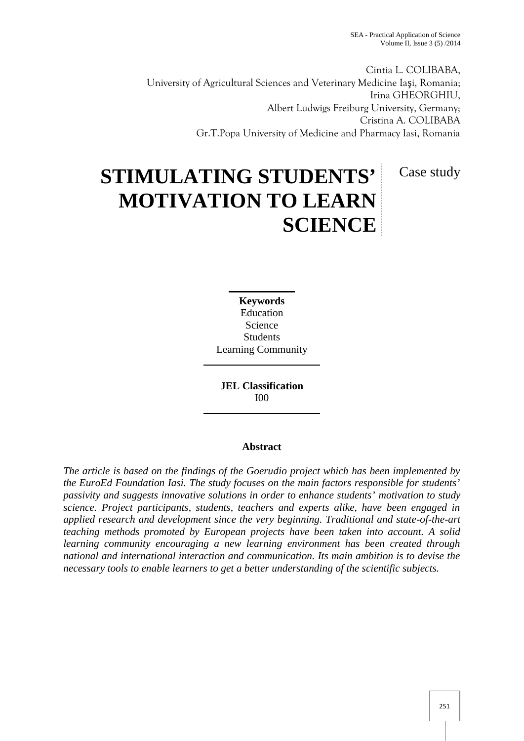Cintia L. COLIBABA, University of Agricultural Sciences and Veterinary Medicine Ia i, Romania; Irina GHEORGHIU, Albert Ludwigs Freiburg University, Germany; Cristina A. COLIBABA Gr.T.Popa University of Medicine and Pharmacy Iasi, Romania

Case study

# **STIMULATING STUDENTS' MOTIVATION TO LEARN SCIENCE**

**Keywords** Education Science Students Learning Community

**JEL Classification** I00

# **Abstract**

*The article is based on the findings of the Goerudio project which has been implemented by the EuroEd Foundation Iasi. The study focuses on the main factors responsible for students' passivity and suggests innovative solutions in order to enhance students' motivation to study science. Project participants, students, teachers and experts alike, have been engaged in applied research and development since the very beginning. Traditional and state-of-the-art teaching methods promoted by European projects have been taken into account. A solid learning community encouraging a new learning environment has been created through national and international interaction and communication. Its main ambition is to devise the necessary tools to enable learners to get a better understanding of the scientific subjects.*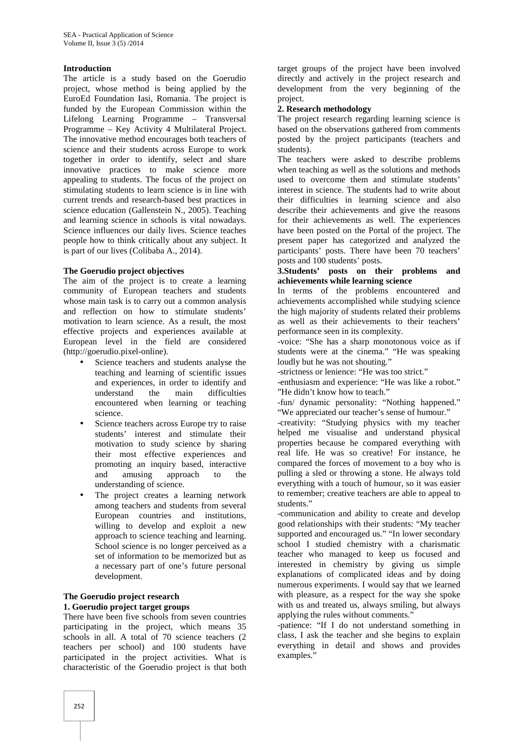## **Introduction**

The article is a study based on the Goerudio project, whose method is being applied by the EuroEd Foundation Iasi, Romania. The project is funded by the European Commission within the Lifelong Learning Programme – Transversal Programme – Key Activity 4 Multilateral Project. The innovative method encourages both teachers of science and their students across Europe to work together in order to identify, select and share innovative practices to make science more appealing to students. The focus of the project on stimulating students to learn science is in line with current trends and research-based best practices in science education (Gallenstein N., 2005). Teaching and learning science in schools is vital nowadays. Science influences our daily lives. Science teaches people how to think critically about any subject. It is part of our lives (Colibaba A., 2014).

#### **The Goerudio project objectives**

The aim of the project is to create a learning community of European teachers and students whose main task is to carry out a common analysis and reflection on how to stimulate students' motivation to learn science. As a result, the most effective projects and experiences available at European level in the field are considered (http://goerudio.pixel-online).

- Science teachers and students analyse the teaching and learning of scientific issues and experiences, in order to identify and understand the main difficulties encountered when learning or teaching science.
- Science teachers across Europe try to raise students' interest and stimulate their motivation to study science by sharing their most effective experiences and promoting an inquiry based, interactive and amusing approach to the understanding of science.
- The project creates a learning network among teachers and students from several European countries and institutions, willing to develop and exploit a new approach to science teaching and learning. School science is no longer perceived as a set of information to be memorized but as a necessary part of one's future personal development.

## **The Goerudio project research 1. Goerudio project target groups**

There have been five schools from seven countries participating in the project, which means 35 schools in all. A total of 70 science teachers (2 teachers per school) and 100 students have participated in the project activities. What is characteristic of the Goerudio project is that both

target groups of the project have been involved directly and actively in the project research and development from the very beginning of the project.

#### **2. Research methodology**

The project research regarding learning science is based on the observations gathered from comments posted by the project participants (teachers and students).

The teachers were asked to describe problems when teaching as well as the solutions and methods used to overcome them and stimulate students' interest in science. The students had to write about their difficulties in learning science and also describe their achievements and give the reasons for their achievements as well. The experiences have been posted on the Portal of the project. The present paper has categorized and analyzed the participants' posts. There have been 70 teachers' posts and 100 students' posts.

## **3.Students' posts on their problems and achievements while learning science**

In terms of the problems encountered and achievements accomplished while studying science the high majority of students related their problems as well as their achievements to their teachers' performance seen in its complexity.

-voice: "She has a sharp monotonous voice as if students were at the cinema." "He was speaking loudly but he was not shouting."

-strictness or lenience: "He was too strict."

-enthusiasm and experience: "He was like a robot." "He didn't know how to teach."

-fun/ dynamic personality: "Nothing happened." "We appreciated our teacher's sense of humour."

-creativity: "Studying physics with my teacher helped me visualise and understand physical properties because he compared everything with real life. He was so creative! For instance, he compared the forces of movement to a boy who is pulling a sled or throwing a stone. He always told everything with a touch of humour, so it was easier to remember; creative teachers are able to appeal to students."

-communication and ability to create and develop good relationships with their students: "My teacher supported and encouraged us." "In lower secondary school I studied chemistry with a charismatic teacher who managed to keep us focused and interested in chemistry by giving us simple explanations of complicated ideas and by doing numerous experiments. I would say that we learned with pleasure, as a respect for the way she spoke with us and treated us, always smiling, but always applying the rules without comments."

-patience: "If I do not understand something in class, I ask the teacher and she begins to explain everything in detail and shows and provides examples."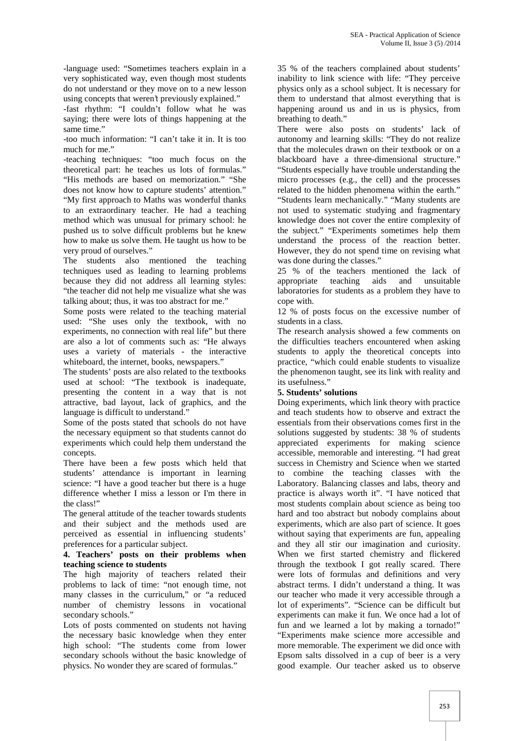-language used: "Sometimes teachers explain in a very sophisticated way, even though most students do not understand or they move on to a new lesson using concepts that weren't previously explained."

-fast rhythm: "I couldn't follow what he was saying; there were lots of things happening at the same time."

-too much information: "I can't take it in. It is too much for me."

-teaching techniques: "too much focus on the theoretical part: he teaches us lots of formulas." "His methods are based on memorization." "She

does not know how to capture students' attention." "My first approach to Maths was wonderful thanks to an extraordinary teacher. He had a teaching method which was unusual for primary school: he pushed us to solve difficult problems but he knew how to make us solve them. He taught us how to be very proud of ourselves."

The students also mentioned the teaching techniques used as leading to learning problems because they did not address all learning styles: "the teacher did not help me visualize what she was talking about; thus, it was too abstract for me."

Some posts were related to the teaching material used: "She uses only the textbook, with no experiments, no connection with real life" but there are also a lot of comments such as: "He always uses a variety of materials - the interactive whiteboard, the internet, books, newspapers."

The students' posts are also related to the textbooks used at school: "The textbook is inadequate, presenting the content in a way that is not attractive, bad layout, lack of graphics, and the language is difficult to understand."

Some of the posts stated that schools do not have the necessary equipment so that students cannot do experiments which could help them understand the concepts.

There have been a few posts which held that students' attendance is important in learning science: "I have a good teacher but there is a huge difference whether I miss a lesson or I'm there in the class!"

The general attitude of the teacher towards students and their subject and the methods used are perceived as essential in influencing students' preferences for a particular subject.

#### **4. Teachers' posts on their problems when teaching science to students**

The high majority of teachers related their problems to lack of time: "not enough time, not many classes in the curriculum," or "a reduced number of chemistry lessons in vocational secondary schools."

Lots of posts commented on students not having the necessary basic knowledge when they enter high school: "The students come from lower secondary schools without the basic knowledge of physics. No wonder they are scared of formulas."

35 % of the teachers complained about students' inability to link science with life: "They perceive physics only as a school subject. It is necessary for them to understand that almost everything that is happening around us and in us is physics, from breathing to death."

There were also posts on students' lack of autonomy and learning skills: "They do not realize that the molecules drawn on their textbook or on a blackboard have a three-dimensional structure." "Students especially have trouble understanding the micro processes (e.g., the cell) and the processes related to the hidden phenomena within the earth." "Students learn mechanically." "Many students are not used to systematic studying and fragmentary knowledge does not cover the entire complexity of the subject." "Experiments sometimes help them understand the process of the reaction better. However, they do not spend time on revising what was done during the classes."

25 % of the teachers mentioned the lack of appropriate teaching aids and unsuitable laboratories for students as a problem they have to cope with.

12 % of posts focus on the excessive number of students in a class.

The research analysis showed a few comments on the difficulties teachers encountered when asking students to apply the theoretical concepts into practice, "which could enable students to visualize the phenomenon taught, see its link with reality and its usefulness."

# **5. Students' solutions**

Doing experiments, which link theory with practice and teach students how to observe and extract the essentials from their observations comes first in the solutions suggested by students: 38 % of students appreciated experiments for making science accessible, memorable and interesting. "I had great success in Chemistry and Science when we started to combine the teaching classes with the Laboratory. Balancing classes and labs, theory and practice is always worth it". "I have noticed that most students complain about science as being too hard and too abstract but nobody complains about experiments, which are also part of science. It goes without saying that experiments are fun, appealing and they all stir our imagination and curiosity. When we first started chemistry and flickered through the textbook I got really scared. There were lots of formulas and definitions and very abstract terms. I didn't understand a thing. It was our teacher who made it very accessible through a lot of experiments". "Science can be difficult but experiments can make it fun. We once had a lot of fun and we learned a lot by making a tornado!" "Experiments make science more accessible and more memorable. The experiment we did once with Epsom salts dissolved in a cup of beer is a very good example. Our teacher asked us to observe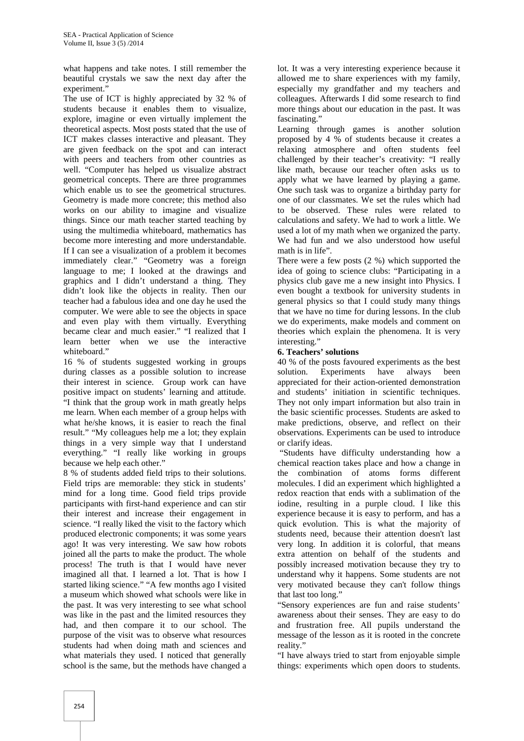what happens and take notes. I still remember the beautiful crystals we saw the next day after the experiment."

The use of ICT is highly appreciated by 32 % of students because it enables them to visualize, explore, imagine or even virtually implement the theoretical aspects. Most posts stated that the use of ICT makes classes interactive and pleasant. They are given feedback on the spot and can interact with peers and teachers from other countries as well. "Computer has helped us visualize abstract geometrical concepts. There are three programmes which enable us to see the geometrical structures. Geometry is made more concrete; this method also works on our ability to imagine and visualize things. Since our math teacher started teaching by using the multimedia whiteboard, mathematics has become more interesting and more understandable. If I can see a visualization of a problem it becomes immediately clear." "Geometry was a foreign language to me; I looked at the drawings and graphics and I didn't understand a thing. They didn't look like the objects in reality. Then our teacher had a fabulous idea and one day he used the computer. We were able to see the objects in space and even play with them virtually. Everything became clear and much easier." "I realized that I learn better when we use the interactive whiteboard."

16 % of students suggested working in groups during classes as a possible solution to increase their interest in science. Group work can have positive impact on students' learning and attitude. "I think that the group work in math greatly helps me learn. When each member of a group helps with what he/she knows, it is easier to reach the final result." "My colleagues help me a lot; they explain things in a very simple way that I understand everything." "I really like working in groups because we help each other."

8 % of students added field trips to their solutions. Field trips are memorable: they stick in students' mind for a long time. Good field trips provide participants with first-hand experience and can stir their interest and increase their engagement in science. "I really liked the visit to the factory which produced electronic components; it was some years ago! It was very interesting. We saw how robots joined all the parts to make the product. The whole process! The truth is that I would have never imagined all that. I learned a lot. That is how I started liking science." "A few months ago I visited a museum which showed what schools were like in the past. It was very interesting to see what school was like in the past and the limited resources they had, and then compare it to our school. The purpose of the visit was to observe what resources students had when doing math and sciences and what materials they used. I noticed that generally school is the same, but the methods have changed a

lot. It was a very interesting experience because it allowed me to share experiences with my family, especially my grandfather and my teachers and colleagues. Afterwards I did some research to find more things about our education in the past. It was fascinating."

Learning through games is another solution proposed by 4 % of students because it creates a relaxing atmosphere and often students feel challenged by their teacher's creativity: "I really like math, because our teacher often asks us to apply what we have learned by playing a game. One such task was to organize a birthday party for one of our classmates. We set the rules which had to be observed. These rules were related to calculations and safety. We had to work a little. We used a lot of my math when we organized the party. We had fun and we also understood how useful math is in life".

There were a few posts (2 %) which supported the idea of going to science clubs: "Participating in a physics club gave me a new insight into Physics. I even bought a textbook for university students in general physics so that I could study many things that we have no time for during lessons. In the club we do experiments, make models and comment on theories which explain the phenomena. It is very interesting."

## **6. Teachers' solutions**

40 % of the posts favoured experiments as the best solution. Experiments have always been appreciated for their action-oriented demonstration and students' initiation in scientific techniques. They not only impart information but also train in the basic scientific processes. Students are asked to make predictions, observe, and reflect on their observations. Experiments can be used to introduce or clarify ideas.

"Students have difficulty understanding how a chemical reaction takes place and how a change in the combination of atoms forms different molecules. I did an experiment which highlighted a redox reaction that ends with a sublimation of the iodine, resulting in a purple cloud. I like this experience because it is easy to perform, and has a quick evolution. This is what the majority of students need, because their attention doesn't last very long. In addition it is colorful, that means extra attention on behalf of the students and possibly increased motivation because they try to understand why it happens. Some students are not very motivated because they can't follow things that last too long."

"Sensory experiences are fun and raise students' awareness about their senses. They are easy to do and frustration free. All pupils understand the message of the lesson as it is rooted in the concrete reality."

"I have always tried to start from enjoyable simple things: experiments which open doors to students.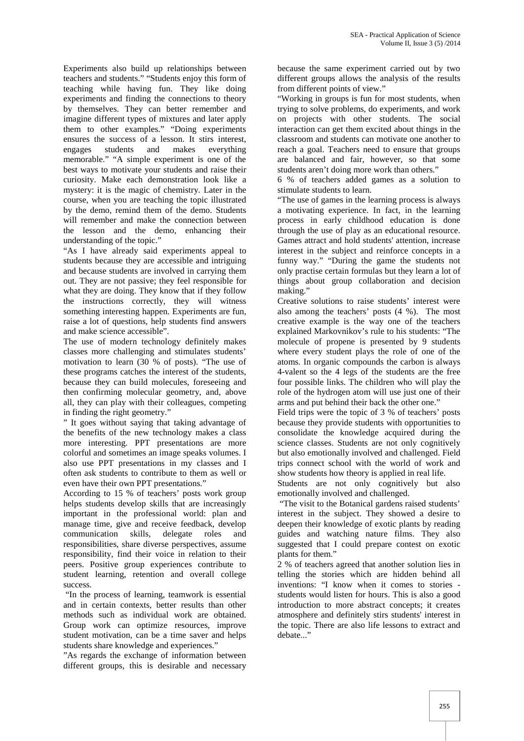Experiments also build up relationships between teachers and students." "Students enjoy this form of teaching while having fun. They like doing experiments and finding the connections to theory by themselves. They can better remember and imagine different types of mixtures and later apply them to other examples." "Doing experiments ensures the success of a lesson. It stirs interest,<br>engages students and makes everything engages students and makes everything memorable." "A simple experiment is one of the best ways to motivate your students and raise their curiosity. Make each demonstration look like a mystery: it is the magic of chemistry. Later in the course, when you are teaching the topic illustrated by the demo, remind them of the demo. Students will remember and make the connection between the lesson and the demo, enhancing their understanding of the topic."

"As I have already said experiments appeal to students because they are accessible and intriguing and because students are involved in carrying them out. They are not passive; they feel responsible for what they are doing. They know that if they follow the instructions correctly, they will witness something interesting happen. Experiments are fun, raise a lot of questions, help students find answers and make science accessible".

The use of modern technology definitely makes classes more challenging and stimulates students' motivation to learn (30 % of posts). "The use of these programs catches the interest of the students, because they can build molecules, foreseeing and then confirming molecular geometry, and, above all, they can play with their colleagues, competing in finding the right geometry."

" It goes without saying that taking advantage of the benefits of the new technology makes a class more interesting. PPT presentations are more colorful and sometimes an image speaks volumes. I also use PPT presentations in my classes and I often ask students to contribute to them as well or even have their own PPT presentations."

According to 15 % of teachers' posts work group helps students develop skills that are increasingly important in the professional world: plan and manage time, give and receive feedback, develop communication skills, delegate roles and responsibilities, share diverse perspectives, assume responsibility, find their voice in relation to their peers. Positive group experiences contribute to student learning, retention and overall college success.

"In the process of learning, teamwork is essential and in certain contexts, better results than other methods such as individual work are obtained. Group work can optimize resources, improve student motivation, can be a time saver and helps students share knowledge and experiences."

"As regards the exchange of information between different groups, this is desirable and necessary

because the same experiment carried out by two different groups allows the analysis of the results from different points of view."

"Working in groups is fun for most students, when trying to solve problems, do experiments, and work on projects with other students. The social interaction can get them excited about things in the classroom and students can motivate one another to reach a goal. Teachers need to ensure that groups are balanced and fair, however, so that some students aren't doing more work than others."

6 % of teachers added games as a solution to stimulate students to learn.

"The use of games in the learning process is always a motivating experience. In fact, in the learning process in early childhood education is done through the use of play as an educational resource. Games attract and hold students' attention, increase interest in the subject and reinforce concepts in a funny way." "During the game the students not only practise certain formulas but they learn a lot of things about group collaboration and decision making."

Creative solutions to raise students' interest were also among the teachers' posts (4 %). The most creative example is the way one of the teachers explained Markovnikov's rule to his students: "The molecule of propene is presented by 9 students where every student plays the role of one of the atoms. In organic compounds the carbon is always 4-valent so the 4 legs of the students are the free four possible links. The children who will play the role of the hydrogen atom will use just one of their arms and put behind their back the other one."

Field trips were the topic of 3 % of teachers' posts because they provide students with opportunities to consolidate the knowledge acquired during the science classes. Students are not only cognitively but also emotionally involved and challenged. Field trips connect school with the world of work and show students how theory is applied in real life.

Students are not only cognitively but also emotionally involved and challenged.

"The visit to the Botanical gardens raised students' interest in the subject. They showed a desire to deepen their knowledge of exotic plants by reading guides and watching nature films. They also suggested that I could prepare contest on exotic plants for them."

2 % of teachers agreed that another solution lies in telling the stories which are hidden behind all inventions: "I know when it comes to stories students would listen for hours. This is also a good introduction to more abstract concepts; it creates atmosphere and definitely stirs students' interest in the topic. There are also life lessons to extract and debate..."